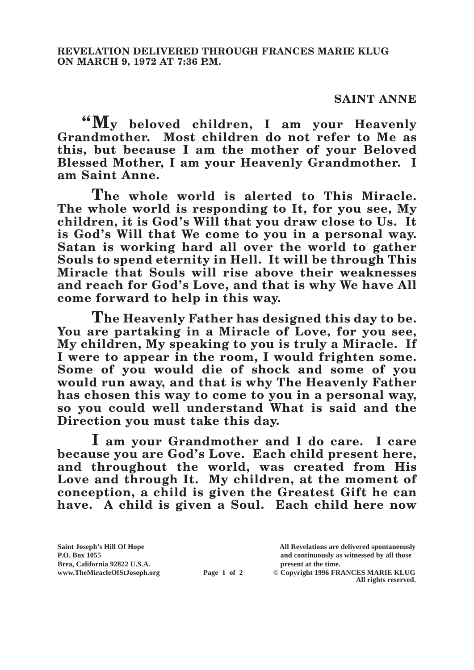## **SAINT ANNE**

**"My beloved children, I am your Heavenly Grandmother. Most children do not refer to Me as this, but because I am the mother of your Beloved Blessed Mother, I am your Heavenly Grandmother. I am Saint Anne.**

**The whole world is alerted to This Miracle. The whole world is responding to It, for you see, My children, it is God's Will that you draw close to Us. It is God's Will that We come to you in a personal way. Satan is working hard all over the world to gather Souls to spend eternity in Hell. It will be through This Miracle that Souls will rise above their weaknesses and reach for God's Love, and that is why We have All come forward to help in this way.**

**The Heavenly Father has designed this day to be. You are partaking in a Miracle of Love, for you see, My children, My speaking to you is truly a Miracle. If I were to appear in the room, I would frighten some. Some of you would die of shock and some of you would run away, and that is why The Heavenly Father has chosen this way to come to you in a personal way, so you could well understand What is said and the Direction you must take this day.**

**I am your Grandmother and I do care. I care because you are God's Love. Each child present here, and throughout the world, was created from His Love and through It. My children, at the moment of conception, a child is given the Greatest Gift he can have. A child is given a Soul. Each child here now** 

**Page 1 of 2** © Copyright 1996 FRANCES MARIE KLUG **All rights reserved.**